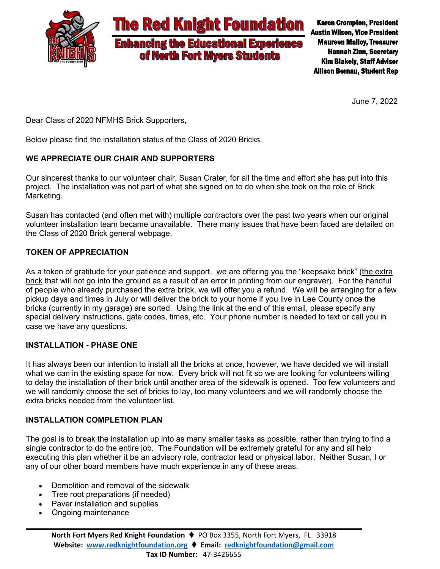

Karen Crompton, President Austin Wilson, Vice President Maureen Malloy, Treasurer Hannah Zinn, Secretary Kim Blakely, Staff Advisor Allison Bernau, Student Rep

June 7, 2022

Dear Class of 2020 NFMHS Brick Supporters,

Below please find the installation status of the Class of 2020 Bricks.

# **WE APPRECIATE OUR CHAIR AND SUPPORTERS**

Our sincerest thanks to our volunteer chair, Susan Crater, for all the time and effort she has put into this project. The installation was not part of what she signed on to do when she took on the role of Brick Marketing.

Susan has contacted (and often met with) multiple contractors over the past two years when our original volunteer installation team became unavailable. There many issues that have been faced are detailed on the Class of 2020 Brick general webpage.

# **TOKEN OF APPRECIATION**

As a token of gratitude for your patience and support, we are offering you the "keepsake brick" (the extra brick that will not go into the ground as a result of an error in printing from our engraver). For the handful of people who already purchased the extra brick, we will offer you a refund. We will be arranging for a few pickup days and times in July or will deliver the brick to your home if you live in Lee County once the bricks (currently in my garage) are sorted. Using the link at the end of this email, please specify any special delivery instructions, gate codes, times, etc. Your phone number is needed to text or call you in case we have any questions.

# **INSTALLATION - PHASE ONE**

It has always been our intention to install all the bricks at once, however, we have decided we will install what we can in the existing space for now. Every brick will not fit so we are looking for volunteers willing to delay the installation of their brick until another area of the sidewalk is opened. Too few volunteers and we will randomly choose the set of bricks to lay, too many volunteers and we will randomly choose the extra bricks needed from the volunteer list.

# **INSTALLATION COMPLETION PLAN**

The goal is to break the installation up into as many smaller tasks as possible, rather than trying to find a single contractor to do the entire job. The Foundation will be extremely grateful for any and all help executing this plan whether it be an advisory role, contractor lead or physical labor. Neither Susan, I or any of our other board members have much experience in any of these areas.

- Demolition and removal of the sidewalk
- Tree root preparations (if needed)
- Paver installation and supplies
- Ongoing maintenance